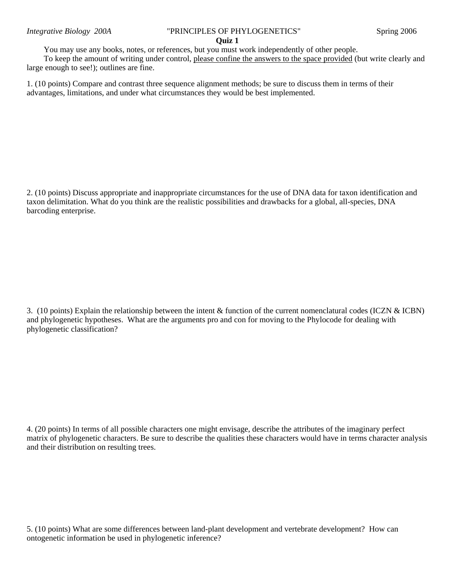## *Integrative Biology 200A* "PRINCIPLES OF PHYLOGENETICS" Spring 2006

## **Quiz 1**

You may use any books, notes, or references, but you must work independently of other people.

To keep the amount of writing under control, please confine the answers to the space provided (but write clearly and large enough to see!); outlines are fine.

1. (10 points) Compare and contrast three sequence alignment methods; be sure to discuss them in terms of their advantages, limitations, and under what circumstances they would be best implemented.

2. (10 points) Discuss appropriate and inappropriate circumstances for the use of DNA data for taxon identification and taxon delimitation. What do you think are the realistic possibilities and drawbacks for a global, all-species, DNA barcoding enterprise.

3. (10 points) Explain the relationship between the intent & function of the current nomenclatural codes (ICZN & ICBN) and phylogenetic hypotheses. What are the arguments pro and con for moving to the Phylocode for dealing with phylogenetic classification?

4. (20 points) In terms of all possible characters one might envisage, describe the attributes of the imaginary perfect matrix of phylogenetic characters. Be sure to describe the qualities these characters would have in terms character analysis and their distribution on resulting trees.

5. (10 points) What are some differences between land-plant development and vertebrate development? How can ontogenetic information be used in phylogenetic inference?